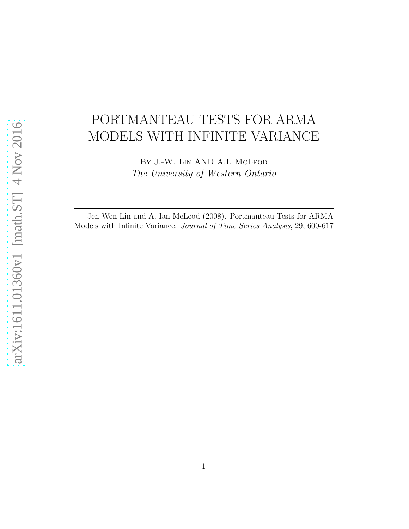# PORTMANTEAU TESTS FOR ARMA MODELS WITH INFINITE VARIANCE

By J.-W. Lin AND A.I. McLeod *The University of Western Ontario*

Jen-Wen Lin and A. Ian McLeod (2008). Portmanteau Tests for ARMA Models with Infinite Variance. *Journal of Time Series Analysis*, 29, 600-617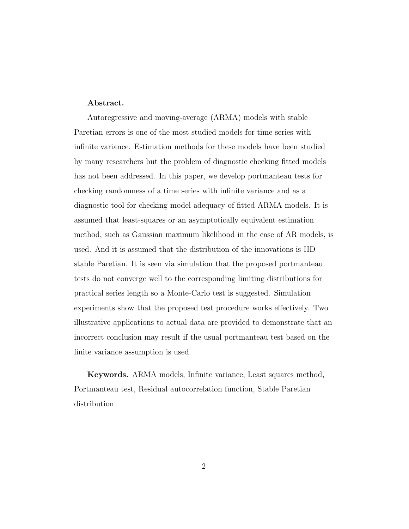#### Abstract.

Autoregressive and moving-average (ARMA) models with stable Paretian errors is one of the most studied models for time series with infinite variance. Estimation methods for these models have been studied by many researchers but the problem of diagnostic checking fitted models has not been addressed. In this paper, we develop portmanteau tests for checking randomness of a time series with infinite variance and as a diagnostic tool for checking model adequacy of fitted ARMA models. It is assumed that least-squares or an asymptotically equivalent estimation method, such as Gaussian maximum likelihood in the case of AR models, is used. And it is assumed that the distribution of the innovations is IID stable Paretian. It is seen via simulation that the proposed portmanteau tests do not converge well to the corresponding limiting distributions for practical series length so a Monte-Carlo test is suggested. Simulation experiments show that the proposed test procedure works effectively. Two illustrative applications to actual data are provided to demonstrate that an incorrect conclusion may result if the usual portmanteau test based on the finite variance assumption is used.

Keywords. ARMA models, Infinite variance, Least squares method, Portmanteau test, Residual autocorrelation function, Stable Paretian distribution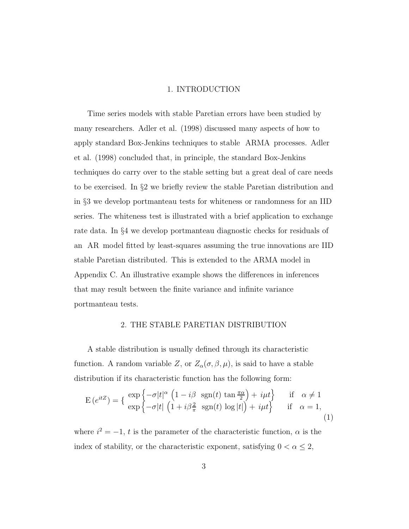#### 1. INTRODUCTION

Time series models with stable Paretian errors have been studied by many researchers. Adler et al. (1998) discussed many aspects of how to apply standard Box-Jenkins techniques to stable ARMA processes. Adler et al. (1998) concluded that, in principle, the standard Box-Jenkins techniques do carry over to the stable setting but a great deal of care needs to be exercised. In §2 we briefly review the stable Paretian distribution and in §3 we develop portmanteau tests for whiteness or randomness for an IID series. The whiteness test is illustrated with a brief application to exchange rate data. In §4 we develop portmanteau diagnostic checks for residuals of an AR model fitted by least-squares assuming the true innovations are IID stable Paretian distributed. This is extended to the ARMA model in Appendix C. An illustrative example shows the differences in inferences that may result between the finite variance and infinite variance portmanteau tests.

#### 2. THE STABLE PARETIAN DISTRIBUTION

A stable distribution is usually defined through its characteristic function. A random variable Z, or  $Z_{\alpha}(\sigma, \beta, \mu)$ , is said to have a stable distribution if its characteristic function has the following form:

$$
E(e^{itZ}) = \left\{ \begin{array}{ll} \exp\left\{-\sigma|t|^{\alpha} \left(1 - i\beta \operatorname{sgn}(t) \tan \frac{\pi \alpha}{2}\right) + i\mu t\right\} & \text{if } \alpha \neq 1\\ \exp\left\{-\sigma|t| \left(1 + i\beta \frac{2}{\pi} \operatorname{sgn}(t) \log |t|\right) + i\mu t\right\} & \text{if } \alpha = 1, \end{array} \right. \tag{1}
$$

where  $i^2 = -1$ , t is the parameter of the characteristic function,  $\alpha$  is the index of stability, or the characteristic exponent, satisfying  $0 < \alpha \leq 2$ ,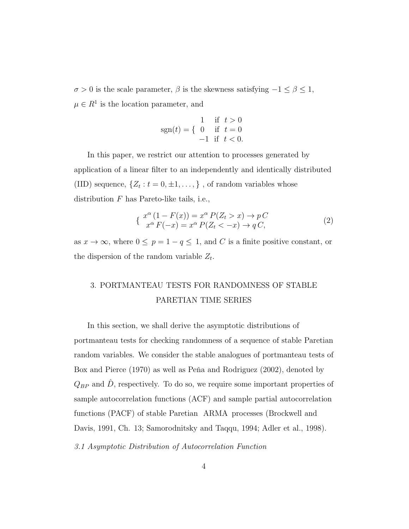σ > 0 is the scale parameter, β is the skewness satisfying −1 ≤ β ≤ 1,  $\mu \in R^1$  is the location parameter, and

$$
sgn(t) = \begin{cases} 1 & \text{if } t > 0 \\ 0 & \text{if } t = 0 \\ -1 & \text{if } t < 0. \end{cases}
$$

In this paper, we restrict our attention to processes generated by application of a linear filter to an independently and identically distributed (IID) sequence,  $\{Z_t : t = 0, \pm 1, \dots, \}$ , of random variables whose distribution F has Pareto-like tails, i.e.,

$$
\begin{aligned} \n\mathcal{L} \, \frac{x^{\alpha} \left(1 - F(x)\right) = x^{\alpha} \, P(Z_t > x) \to p \, C \\ \n\mathcal{L} \, \frac{x^{\alpha} \, F(-x)}{x^{\alpha} \, F(-x)} &= x^{\alpha} \, P(Z_t < -x) \to q \, C, \n\end{aligned} \tag{2}
$$

as  $x \to \infty$ , where  $0 \le p = 1 - q \le 1$ , and C is a finite positive constant, or the dispersion of the random variable  $Z_t$ .

## 3. PORTMANTEAU TESTS FOR RANDOMNESS OF STABLE PARETIAN TIME SERIES

In this section, we shall derive the asymptotic distributions of portmanteau tests for checking randomness of a sequence of stable Paretian random variables. We consider the stable analogues of portmanteau tests of Box and Pierce (1970) as well as Peña and Rodriguez (2002), denoted by  $Q_{BP}$  and  $\hat{D}$ , respectively. To do so, we require some important properties of sample autocorrelation functions (ACF) and sample partial autocorrelation functions (PACF) of stable Paretian ARMA processes (Brockwell and Davis, 1991, Ch. 13; Samorodnitsky and Taqqu, 1994; Adler et al., 1998). *3.1 Asymptotic Distribution of Autocorrelation Function*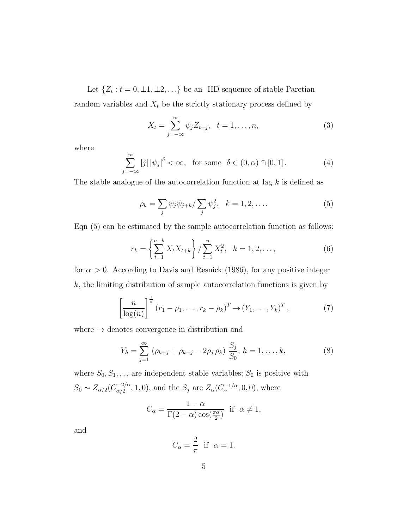Let  $\{Z_t : t = 0, \pm 1, \pm 2, \ldots\}$  be an IID sequence of stable Paretian random variables and  $X_t$  be the strictly stationary process defined by

$$
X_t = \sum_{j=-\infty}^{\infty} \psi_j Z_{t-j}, \ \ t = 1, \dots, n,
$$
 (3)

where

$$
\sum_{j=-\infty}^{\infty} |j| |\psi_j|^\delta < \infty, \text{ for some } \delta \in (0, \alpha) \cap [0, 1]. \tag{4}
$$

The stable analogue of the autocorrelation function at lag  $k$  is defined as

$$
\rho_k = \sum_j \psi_j \psi_{j+k} / \sum_j \psi_j^2, \quad k = 1, 2, \dots
$$
 (5)

Eqn (5) can be estimated by the sample autocorrelation function as follows:

$$
r_k = \left\{ \sum_{t=1}^{n-k} X_t X_{t+k} \right\} / \sum_{t=1}^{n} X_t^2, \quad k = 1, 2, \dots,
$$
 (6)

for  $\alpha > 0$ . According to Davis and Resnick (1986), for any positive integer  $k$ , the limiting distribution of sample autocorrelation functions is given by

$$
\left[\frac{n}{\log(n)}\right]^{\frac{1}{\alpha}}\left(r_1-\rho_1,\ldots,r_k-\rho_k\right)^T \to \left(Y_1,\ldots,Y_k\right)^T,\tag{7}
$$

where  $\rightarrow$  denotes convergence in distribution and

$$
Y_h = \sum_{j=1}^{\infty} (\rho_{k+j} + \rho_{k-j} - 2\rho_j \rho_k) \frac{S_j}{S_0}, h = 1, \dots, k,
$$
 (8)

where  $S_0, S_1, \ldots$  are independent stable variables;  $S_0$  is positive with  $S_0 \sim Z_{\alpha/2} (C_{\alpha/2}^{-2/\alpha})$  $\frac{(-2)}{\alpha/2}$ , 1, 0), and the  $S_j$  are  $Z_\alpha$ ( $C_\alpha^{-1/\alpha}$ , 0, 0), where

$$
C_{\alpha} = \frac{1 - \alpha}{\Gamma(2 - \alpha)\cos(\frac{\pi \alpha}{2})} \text{ if } \alpha \neq 1,
$$

and

$$
C_{\alpha} = \frac{2}{\pi} \text{ if } \alpha = 1.
$$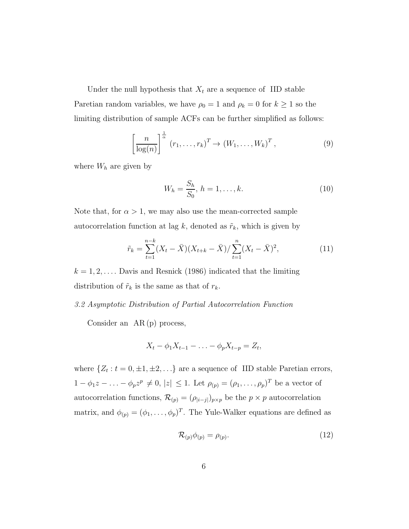Under the null hypothesis that  $X_t$  are a sequence of IID stable Paretian random variables, we have  $\rho_0 = 1$  and  $\rho_k = 0$  for  $k \ge 1$  so the limiting distribution of sample ACFs can be further simplified as follows:

$$
\left[\frac{n}{\log(n)}\right]^{\frac{1}{\alpha}} (r_1, \dots, r_k)^T \to (W_1, \dots, W_k)^T, \tag{9}
$$

where  $W_h$  are given by

$$
W_h = \frac{S_h}{S_0}, \, h = 1, \dots, k. \tag{10}
$$

Note that, for  $\alpha > 1$ , we may also use the mean-corrected sample autocorrelation function at lag k, denoted as  $\tilde{r}_k$ , which is given by

$$
\tilde{r}_k = \sum_{t=1}^{n-k} (X_t - \bar{X})(X_{t+k} - \bar{X}) / \sum_{t=1}^n (X_t - \bar{X})^2,
$$
\n(11)

 $k = 1, 2, \ldots$  Davis and Resnick (1986) indicated that the limiting distribution of  $\tilde{r}_k$  is the same as that of  $r_k$ .

#### *3.2 Asymptotic Distribution of Partial Autocorrelation Function*

Consider an AR (p) process,

$$
X_t - \phi_1 X_{t-1} - \ldots - \phi_p X_{t-p} = Z_t,
$$

where  $\{Z_t: t = 0, \pm 1, \pm 2, \ldots\}$  are a sequence of IID stable Paretian errors,  $1 - \phi_1 z - \ldots - \phi_p z^p \neq 0, |z| \leq 1$ . Let  $\rho_{(p)} = (\rho_1, \ldots, \rho_p)^T$  be a vector of autocorrelation functions,  $\mathcal{R}_{(p)} = (\rho_{|i-j|})_{p \times p}$  be the  $p \times p$  autocorrelation matrix, and  $\phi(p) = (\phi_1, \ldots, \phi_p)^T$ . The Yule-Walker equations are defined as

$$
\mathcal{R}_{(p)}\phi_{(p)} = \rho_{(p)}.\tag{12}
$$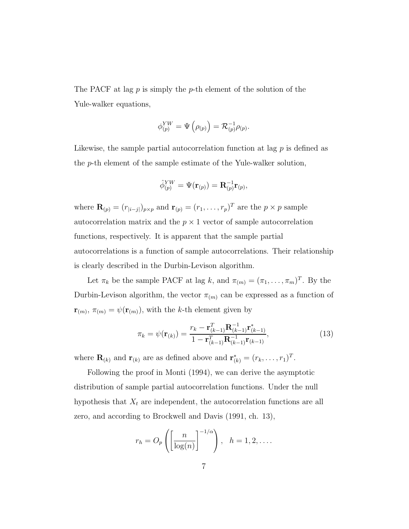The PACF at lag  $p$  is simply the  $p$ -th element of the solution of the Yule-walker equations,

$$
\phi_{(p)}^{YW} = \Psi\left(\rho_{(p)}\right) = \mathcal{R}_{(p)}^{-1}\rho_{(p)}.
$$

Likewise, the sample partial autocorrelation function at lag  $p$  is defined as the p-th element of the sample estimate of the Yule-walker solution,

$$
\hat{\phi}_{(p)}^{YW}=\Psi(\mathbf{r}_{(p)})=\mathbf{R}_{(p)}^{-1}\mathbf{r}_{(p)},
$$

where  $\mathbf{R}_{(p)} = (r_{|i-j|})_{p \times p}$  and  $\mathbf{r}_{(p)} = (r_1, \ldots, r_p)^T$  are the  $p \times p$  sample autocorrelation matrix and the  $p \times 1$  vector of sample autocorrelation functions, respectively. It is apparent that the sample partial autocorrelations is a function of sample autocorrelations. Their relationship is clearly described in the Durbin-Levison algorithm.

Let  $\pi_k$  be the sample PACF at lag k, and  $\pi_{(m)} = (\pi_1, \ldots, \pi_m)^T$ . By the Durbin-Levison algorithm, the vector  $\pi_{(m)}$  can be expressed as a function of  $\mathbf{r}_{(m)}$ ,  $\pi_{(m)} = \psi(\mathbf{r}_{(m)})$ , with the k-th element given by

$$
\pi_k = \psi(\mathbf{r}_{(k)}) = \frac{r_k - \mathbf{r}_{(k-1)}^T \mathbf{R}_{(k-1)}^{-1} \mathbf{r}_{(k-1)}^*}{1 - \mathbf{r}_{(k-1)}^T \mathbf{R}_{(k-1)}^{-1} \mathbf{r}_{(k-1)}},
$$
(13)

where  $\mathbf{R}_{(k)}$  and  $\mathbf{r}_{(k)}$  are as defined above and  $\mathbf{r}_{(k)}^* = (r_k, \ldots, r_1)^T$ .

Following the proof in Monti (1994), we can derive the asymptotic distribution of sample partial autocorrelation functions. Under the null hypothesis that  $X_t$  are independent, the autocorrelation functions are all zero, and according to Brockwell and Davis (1991, ch. 13),

$$
r_h = O_p\left(\left[\frac{n}{\log(n)}\right]^{-1/\alpha}\right), \quad h = 1, 2, \dots.
$$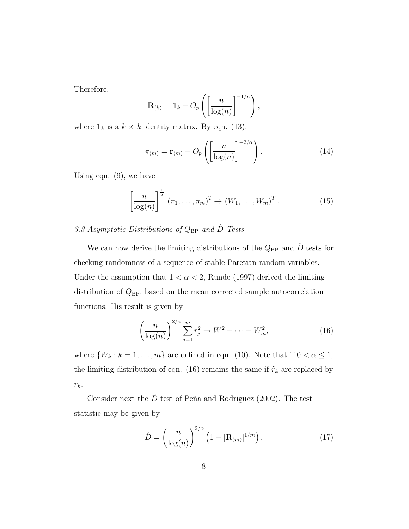Therefore,

$$
\mathbf{R}_{(k)} = \mathbf{1}_k + O_p\left(\left[\frac{n}{\log(n)}\right]^{-1/\alpha}\right),\,
$$

where  $\mathbf{1}_k$  is a  $k \times k$  identity matrix. By eqn. (13),

$$
\pi_{(m)} = \mathbf{r}_{(m)} + O_p\left(\left[\frac{n}{\log(n)}\right]^{-2/\alpha}\right). \tag{14}
$$

Using eqn. (9), we have

$$
\left[\frac{n}{\log(n)}\right]^{\frac{1}{\alpha}} \left(\pi_1, \dots, \pi_m\right)^T \to \left(W_1, \dots, W_m\right)^T. \tag{15}
$$

## *3.3 Asymptotic Distributions of* QBP *and* Dˆ *Tests*

We can now derive the limiting distributions of the  $Q_{BP}$  and  $\hat{D}$  tests for checking randomness of a sequence of stable Paretian random variables. Under the assumption that  $1 < \alpha < 2$ , Runde (1997) derived the limiting distribution of  $Q_{BP}$ , based on the mean corrected sample autocorrelation functions. His result is given by

$$
\left(\frac{n}{\log(n)}\right)^{2/\alpha} \sum_{j=1}^{m} \tilde{r}_j^2 \to W_1^2 + \dots + W_m^2,\tag{16}
$$

where  $\{W_k : k = 1, \ldots, m\}$  are defined in eqn. (10). Note that if  $0 < \alpha \leq 1$ , the limiting distribution of eqn. (16) remains the same if  $\tilde{r}_k$  are replaced by  $r_k$ .

Consider next the  $\hat{D}$  test of Peña and Rodriguez (2002). The test statistic may be given by

$$
\hat{D} = \left(\frac{n}{\log(n)}\right)^{2/\alpha} \left(1 - |\mathbf{R}_{(m)}|^{1/m}\right). \tag{17}
$$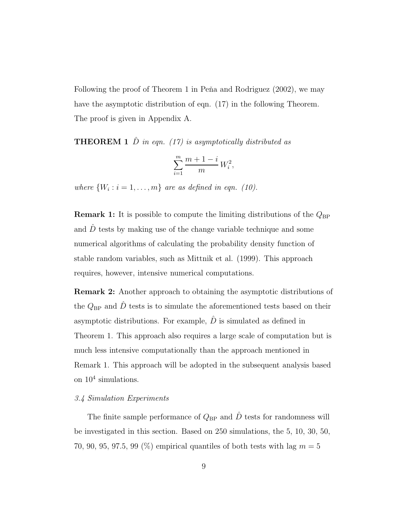Following the proof of Theorem 1 in Peña and Rodriguez  $(2002)$ , we may have the asymptotic distribution of eqn. (17) in the following Theorem. The proof is given in Appendix A.

**THEOREM 1**  $\hat{D}$  *in eqn.* (17) *is asymptotically distributed as* 

$$
\sum_{i=1}^m \frac{m+1-i}{m}\,W_i^2,
$$

*where*  $\{W_i : i = 1, ..., m\}$  *are as defined in eqn.* (10).

**Remark 1:** It is possible to compute the limiting distributions of the  $Q_{\text{BP}}$ and  $\hat{D}$  tests by making use of the change variable technique and some numerical algorithms of calculating the probability density function of stable random variables, such as Mittnik et al. (1999). This approach requires, however, intensive numerical computations.

Remark 2: Another approach to obtaining the asymptotic distributions of the  $Q_{\text{BP}}$  and  $\hat{D}$  tests is to simulate the aforementioned tests based on their asymptotic distributions. For example,  $\hat{D}$  is simulated as defined in Theorem 1. This approach also requires a large scale of computation but is much less intensive computationally than the approach mentioned in Remark 1. This approach will be adopted in the subsequent analysis based on 10<sup>4</sup> simulations.

#### *3.4 Simulation Experiments*

The finite sample performance of  $Q_{\text{BP}}$  and  $\hat{D}$  tests for randomness will be investigated in this section. Based on 250 simulations, the 5, 10, 30, 50, 70, 90, 95, 97.5, 99  $(\%)$  empirical quantiles of both tests with lag  $m = 5$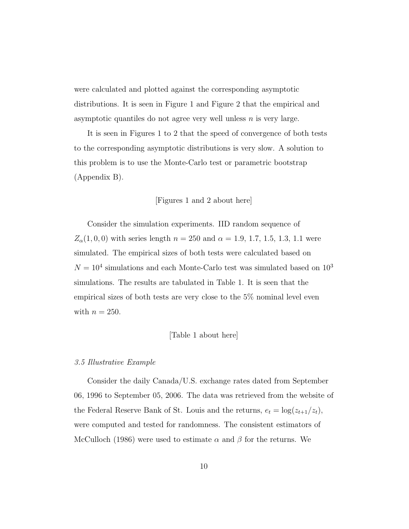were calculated and plotted against the corresponding asymptotic distributions. It is seen in Figure 1 and Figure 2 that the empirical and asymptotic quantiles do not agree very well unless  $n$  is very large.

It is seen in Figures 1 to 2 that the speed of convergence of both tests to the corresponding asymptotic distributions is very slow. A solution to this problem is to use the Monte-Carlo test or parametric bootstrap (Appendix B).

#### [Figures 1 and 2 about here]

Consider the simulation experiments. IID random sequence of  $Z_{\alpha}(1, 0, 0)$  with series length  $n = 250$  and  $\alpha = 1.9, 1.7, 1.5, 1.3, 1.1$  were simulated. The empirical sizes of both tests were calculated based on  $N = 10<sup>4</sup>$  simulations and each Monte-Carlo test was simulated based on  $10<sup>3</sup>$ simulations. The results are tabulated in Table 1. It is seen that the empirical sizes of both tests are very close to the 5% nominal level even with  $n = 250$ .

#### [Table 1 about here]

#### *3.5 Illustrative Example*

Consider the daily Canada/U.S. exchange rates dated from September 06, 1996 to September 05, 2006. The data was retrieved from the website of the Federal Reserve Bank of St. Louis and the returns,  $e_t = \log(z_{t+1}/z_t)$ , were computed and tested for randomness. The consistent estimators of McCulloch (1986) were used to estimate  $\alpha$  and  $\beta$  for the returns. We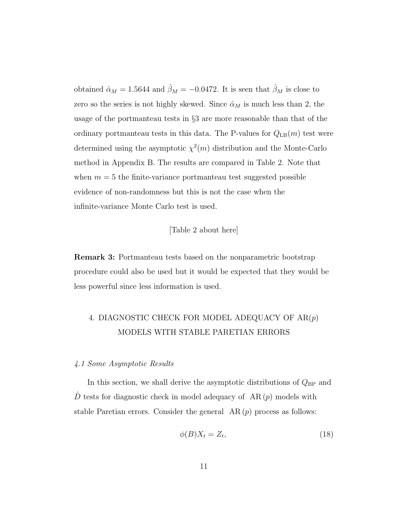obtained  $\hat{\alpha}_M = 1.5644$  and  $\hat{\beta}_M = -0.0472$ . It is seen that  $\hat{\beta}_M$  is close to zero so the series is not highly skewed. Since  $\hat{\alpha}_M$  is much less than 2, the usage of the portmanteau tests in §3 are more reasonable than that of the ordinary portmanteau tests in this data. The P-values for  $Q_{LB}(m)$  test were determined using the asymptotic  $\chi^2(m)$  distribution and the Monte-Carlo method in Appendix B. The results are compared in Table 2. Note that when  $m = 5$  the finite-variance portmanteau test suggested possible evidence of non-randomness but this is not the case when the infinite-variance Monte Carlo test is used.

#### [Table 2 about here]

Remark 3: Portmanteau tests based on the nonparametric bootstrap procedure could also be used but it would be expected that they would be less powerful since less information is used.

## 4. DIAGNOSTIC CHECK FOR MODEL ADEQUACY OF  $AR(p)$ MODELS WITH STABLE PARETIAN ERRORS

#### *4.1 Some Asymptotic Results*

In this section, we shall derive the asymptotic distributions of  $Q_{BP}$  and  $\hat{D}$  tests for diagnostic check in model adequacy of AR $(p)$  models with stable Paretian errors. Consider the general  $AR(p)$  process as follows:

$$
\phi(B)X_t = Z_t,\tag{18}
$$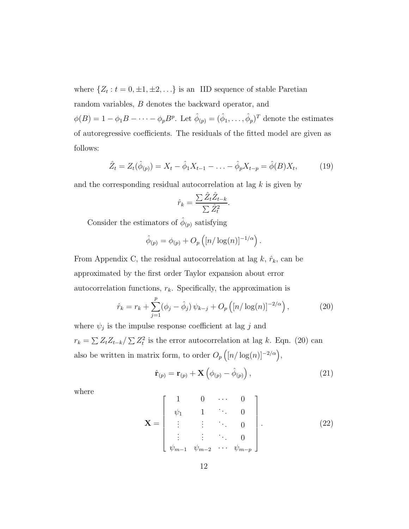where  $\{Z_t : t = 0, \pm 1, \pm 2, \ldots\}$  is an IID sequence of stable Paretian random variables, B denotes the backward operator, and  $\phi(B) = 1 - \phi_1 B - \cdots - \phi_p B^p$ . Let  $\hat{\phi}_{(p)} = (\hat{\phi}_1, \dots, \hat{\phi}_p)^T$  denote the estimates

of autoregressive coefficients. The residuals of the fitted model are given as follows:

$$
\hat{Z}_t = Z_t(\hat{\phi}_{(p)}) = X_t - \hat{\phi}_1 X_{t-1} - \dots - \hat{\phi}_p X_{t-p} = \hat{\phi}(B) X_t, \tag{19}
$$

and the corresponding residual autocorrelation at lag k is given by

$$
\hat{r}_k = \frac{\sum \hat{Z}_t \hat{Z}_{t-k}}{\sum \hat{Z}_t^2}.
$$

Consider the estimators of  $\hat{\phi}_{(p)}$  satisfying

$$
\hat{\phi}_{(p)} = \phi_{(p)} + O_p\left(\left[n/\log(n)\right]^{-1/\alpha}\right).
$$

From Appendix C, the residual autocorrelation at lag  $k$ ,  $\hat{r}_k$ , can be approximated by the first order Taylor expansion about error autocorrelation functions,  $r_k$ . Specifically, the approximation is

$$
\hat{r}_k = r_k + \sum_{j=1}^p (\phi_j - \hat{\phi}_j) \psi_{k-j} + O_p\left( [n/\log(n)]^{-2/\alpha} \right), \tag{20}
$$

where  $\psi_j$  is the impulse response coefficient at lag j and  $r_k = \sum Z_t Z_{t-k} / \sum Z_t^2$  is the error autocorrelation at lag k. Eqn. (20) can also be written in matrix form, to order  $O_p\left(\left[n/\log(n)\right]^{-2/\alpha}\right)$ ,

$$
\hat{\mathbf{r}}_{(p)} = \mathbf{r}_{(p)} + \mathbf{X} \left( \phi_{(p)} - \hat{\phi}_{(p)} \right), \qquad (21)
$$

where

$$
\mathbf{X} = \begin{bmatrix} 1 & 0 & \cdots & 0 \\ \psi_1 & 1 & \ddots & 0 \\ \vdots & \vdots & \ddots & 0 \\ \psi_{m-1} & \psi_{m-2} & \cdots & \psi_{m-p} \end{bmatrix} .
$$
 (22)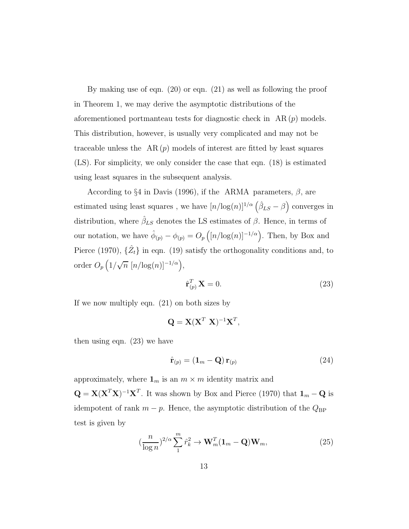By making use of eqn. (20) or eqn. (21) as well as following the proof in Theorem 1, we may derive the asymptotic distributions of the aforementioned portmanteau tests for diagnostic check in  $AR(p)$  models. This distribution, however, is usually very complicated and may not be traceable unless the  $AR(p)$  models of interest are fitted by least squares (LS). For simplicity, we only consider the case that eqn. (18) is estimated using least squares in the subsequent analysis.

According to §4 in Davis (1996), if the ARMA parameters,  $\beta$ , are estimated using least squares, we have  $[n/\log(n)]^{1/\alpha} (\hat{\beta}_{LS} - \beta)$  converges in distribution, where  $\hat{\beta}_{LS}$  denotes the LS estimates of  $\beta$ . Hence, in terms of our notation, we have  $\hat{\phi}_{(p)} - \phi_{(p)} = O_p\left(\frac{n}{\log(n)}\right)^{-1/\alpha}$ . Then, by Box and Pierce (1970),  $\{\hat{Z}_t\}$  in eqn. (19) satisfy the orthogonality conditions and, to order  $O_p\left(\frac{1}{\sqrt{n}}\left[n/\log(n)\right]^{-1/\alpha}\right),$ 

$$
\hat{\mathbf{r}}_{(p)}^T \mathbf{X} = 0. \tag{23}
$$

If we now multiply eqn. (21) on both sizes by

$$
\mathbf{Q} = \mathbf{X} (\mathbf{X}^T \ \mathbf{X})^{-1} \mathbf{X}^T,
$$

then using eqn. (23) we have

$$
\hat{\mathbf{r}}_{(p)} = (\mathbf{1}_m - \mathbf{Q}) \, \mathbf{r}_{(p)} \tag{24}
$$

approximately, where  $\mathbf{1}_m$  is an  $m \times m$  identity matrix and  $\mathbf{Q} = \mathbf{X} (\mathbf{X}^T \mathbf{X})^{-1} \mathbf{X}^T$ . It was shown by Box and Pierce (1970) that  $\mathbf{1}_m - \mathbf{Q}$  is idempotent of rank  $m - p$ . Hence, the asymptotic distribution of the  $Q_{BP}$ test is given by

$$
\left(\frac{n}{\log n}\right)^{2/\alpha} \sum_{1}^{m} \hat{r}_k^2 \to \mathbf{W}_m^T (\mathbf{1}_m - \mathbf{Q}) \mathbf{W}_m, \tag{25}
$$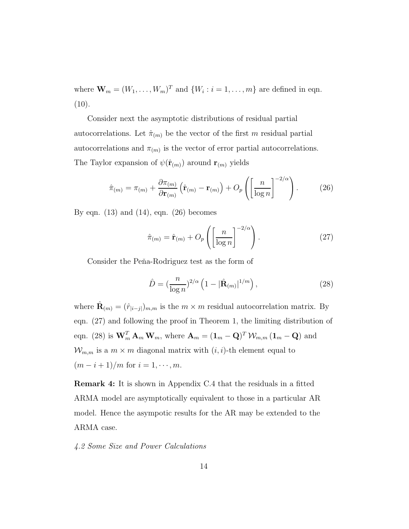where  $\mathbf{W}_m = (W_1, \dots, W_m)^T$  and  $\{W_i : i = 1, \dots, m\}$  are defined in eqn.  $(10).$ 

Consider next the asymptotic distributions of residual partial autocorrelations. Let  $\hat{\pi}_{(m)}$  be the vector of the first m residual partial autocorrelations and  $\pi_{(m)}$  is the vector of error partial autocorrelations. The Taylor expansion of  $\psi(\hat{\mathbf{r}}_{(m)})$  around  $\mathbf{r}_{(m)}$  yields

$$
\hat{\pi}_{(m)} = \pi_{(m)} + \frac{\partial \pi_{(m)}}{\partial \mathbf{r}_{(m)}} \left( \hat{\mathbf{r}}_{(m)} - \mathbf{r}_{(m)} \right) + O_p \left( \left[ \frac{n}{\log n} \right]^{-2/\alpha} \right). \tag{26}
$$

By eqn.  $(13)$  and  $(14)$ , eqn.  $(26)$  becomes

$$
\hat{\pi}_{(m)} = \hat{\mathbf{r}}_{(m)} + O_p\left(\left[\frac{n}{\log n}\right]^{-2/\alpha}\right). \tag{27}
$$

Consider the Peňa-Rodriguez test as the form of

$$
\hat{D} = \left(\frac{n}{\log n}\right)^{2/\alpha} \left(1 - |\hat{\mathbf{R}}_{(m)}|^{1/m}\right),\tag{28}
$$

where  $\hat{\mathbf{R}}_{(m)} = (\hat{r}_{|i-j|})_{m,m}$  is the  $m \times m$  residual autocorrelation matrix. By eqn. (27) and following the proof in Theorem 1, the limiting distribution of eqn. (28) is  $\mathbf{W}_m^T \mathbf{A}_m \mathbf{W}_m$ , where  $\mathbf{A}_m = (\mathbf{1}_m - \mathbf{Q})^T \mathcal{W}_{m,m} (\mathbf{1}_m - \mathbf{Q})$  and  $W_{m,m}$  is a  $m \times m$  diagonal matrix with  $(i, i)$ -th element equal to  $(m - i + 1)/m$  for  $i = 1, \dots, m$ .

Remark 4: It is shown in Appendix C.4 that the residuals in a fitted ARMA model are asymptotically equivalent to those in a particular AR model. Hence the asympotic results for the AR may be extended to the ARMA case.

#### *4.2 Some Size and Power Calculations*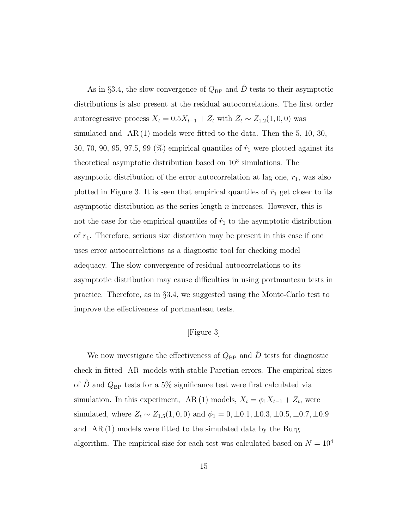As in §3.4, the slow convergence of  $Q_{\rm BP}$  and  $\hat{D}$  tests to their asymptotic distributions is also present at the residual autocorrelations. The first order autoregressive process  $X_t = 0.5X_{t-1} + Z_t$  with  $Z_t \sim Z_{1,2}(1,0,0)$  was simulated and  $AR(1)$  models were fitted to the data. Then the 5, 10, 30, 50, 70, 90, 95, 97.5, 99 (%) empirical quantiles of  $\hat{r}_1$  were plotted against its theoretical asymptotic distribution based on  $10^3$  simulations. The asymptotic distribution of the error autocorrelation at lag one,  $r_1$ , was also plotted in Figure 3. It is seen that empirical quantiles of  $\hat{r}_1$  get closer to its asymptotic distribution as the series length  $n$  increases. However, this is not the case for the empirical quantiles of  $\hat{r}_1$  to the asymptotic distribution of  $r_1$ . Therefore, serious size distortion may be present in this case if one uses error autocorrelations as a diagnostic tool for checking model adequacy. The slow convergence of residual autocorrelations to its asymptotic distribution may cause difficulties in using portmanteau tests in practice. Therefore, as in §3.4, we suggested using the Monte-Carlo test to improve the effectiveness of portmanteau tests.

#### [Figure 3]

We now investigate the effectiveness of  $Q_{\rm BP}$  and  $\hat{D}$  tests for diagnostic check in fitted AR models with stable Paretian errors. The empirical sizes of  $\hat{D}$  and  $Q_{\text{BP}}$  tests for a 5% significance test were first calculated via simulation. In this experiment, AR(1) models,  $X_t = \phi_1 X_{t-1} + Z_t$ , were simulated, where  $Z_t \sim Z_{1.5}(1, 0, 0)$  and  $\phi_1 = 0, \pm 0.1, \pm 0.3, \pm 0.5, \pm 0.7, \pm 0.9$ and AR (1) models were fitted to the simulated data by the Burg algorithm. The empirical size for each test was calculated based on  ${\cal N}=10^4$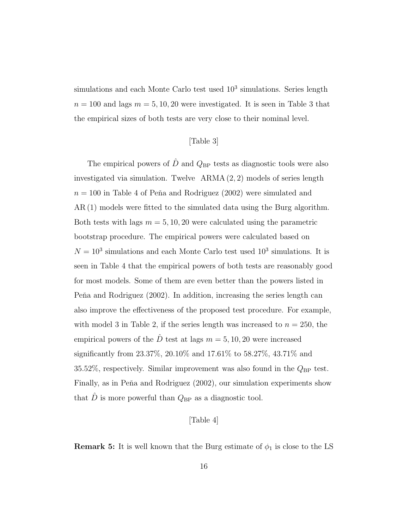simulations and each Monte Carlo test used  $10^3$  simulations. Series length  $n = 100$  and lags  $m = 5, 10, 20$  were investigated. It is seen in Table 3 that the empirical sizes of both tests are very close to their nominal level.

#### [Table 3]

The empirical powers of  $\hat{D}$  and  $Q_{\text{BP}}$  tests as diagnostic tools were also investigated via simulation. Twelve ARMA (2, 2) models of series length  $n = 100$  in Table 4 of Peňa and Rodriguez (2002) were simulated and AR (1) models were fitted to the simulated data using the Burg algorithm. Both tests with lags  $m = 5, 10, 20$  were calculated using the parametric bootstrap procedure. The empirical powers were calculated based on  $N = 10<sup>3</sup>$  simulations and each Monte Carlo test used  $10<sup>3</sup>$  simulations. It is seen in Table 4 that the empirical powers of both tests are reasonably good for most models. Some of them are even better than the powers listed in Peña and Rodriguez  $(2002)$ . In addition, increasing the series length can also improve the effectiveness of the proposed test procedure. For example, with model 3 in Table 2, if the series length was increased to  $n = 250$ , the empirical powers of the  $\hat{D}$  test at lags  $m = 5, 10, 20$  were increased significantly from 23.37%, 20.10% and 17.61% to 58.27%, 43.71% and 35.52%, respectively. Similar improvement was also found in the  $Q_{BP}$  test. Finally, as in Peňa and Rodriguez (2002), our simulation experiments show that  $\hat{D}$  is more powerful than  $Q_{\rm BP}$  as a diagnostic tool.

#### [Table 4]

**Remark 5:** It is well known that the Burg estimate of  $\phi_1$  is close to the LS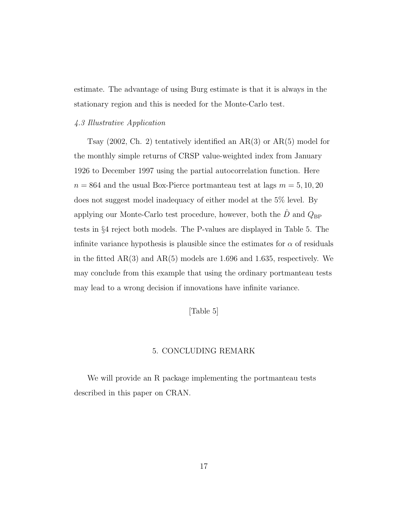estimate. The advantage of using Burg estimate is that it is always in the stationary region and this is needed for the Monte-Carlo test.

#### *4.3 Illustrative Application*

Tsay (2002, Ch. 2) tentatively identified an AR(3) or AR(5) model for the monthly simple returns of CRSP value-weighted index from January 1926 to December 1997 using the partial autocorrelation function. Here  $n = 864$  and the usual Box-Pierce portmanteau test at lags  $m = 5, 10, 20$ does not suggest model inadequacy of either model at the 5% level. By applying our Monte-Carlo test procedure, however, both the  $\hat{D}$  and  $Q_{\rm BP}$ tests in §4 reject both models. The P-values are displayed in Table 5. The infinite variance hypothesis is plausible since the estimates for  $\alpha$  of residuals in the fitted  $AR(3)$  and  $AR(5)$  models are 1.696 and 1.635, respectively. We may conclude from this example that using the ordinary portmanteau tests may lead to a wrong decision if innovations have infinite variance.

#### [Table 5]

#### 5. CONCLUDING REMARK

We will provide an R package implementing the portmanteau tests described in this paper on CRAN.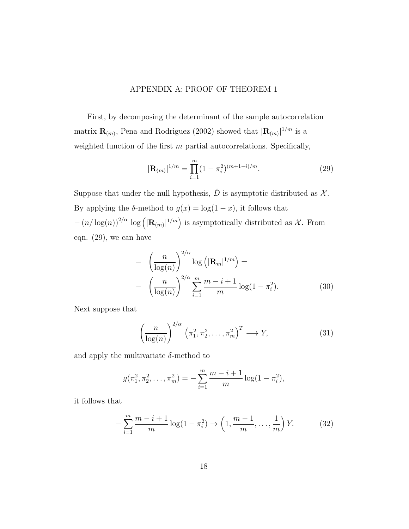#### APPENDIX A: PROOF OF THEOREM 1

First, by decomposing the determinant of the sample autocorrelation matrix  $\mathbf{R}_{(m)}$ , Pena and Rodriguez (2002) showed that  $|\mathbf{R}_{(m)}|^{1/m}$  is a weighted function of the first  $m$  partial autocorrelations. Specifically,

$$
|\mathbf{R}_{(m)}|^{1/m} = \prod_{i=1}^{m} (1 - \pi_i^2)^{(m+1-i)/m}.
$$
 (29)

Suppose that under the null hypothesis,  $\hat{D}$  is asymptotic distributed as  $\mathcal{X}$ . By applying the  $\delta$ -method to  $g(x) = \log(1-x)$ , it follows that  $-(n/\log(n))^{2/\alpha} \log (|\mathbf{R}_{(m)}|^{1/m})$  is asymptotically distributed as X. From eqn. (29), we can have

$$
- \left(\frac{n}{\log(n)}\right)^{2/\alpha} \log\left(|\mathbf{R}_m|^{1/m}\right) =
$$

$$
- \left(\frac{n}{\log(n)}\right)^{2/\alpha} \sum_{i=1}^m \frac{m-i+1}{m} \log(1-\pi_i^2).
$$
(30)

Next suppose that

$$
\left(\frac{n}{\log(n)}\right)^{2/\alpha} \left(\pi_1^2, \pi_2^2, \dots, \pi_m^2\right)^T \longrightarrow Y,
$$
\n(31)

and apply the multivariate  $\delta$ -method to

$$
g(\pi_1^2, \pi_2^2, \dots, \pi_m^2) = -\sum_{i=1}^m \frac{m-i+1}{m} \log(1 - \pi_i^2),
$$

it follows that

$$
-\sum_{i=1}^{m} \frac{m-i+1}{m} \log(1 - \pi_i^2) \to \left(1, \frac{m-1}{m}, \dots, \frac{1}{m}\right) Y. \tag{32}
$$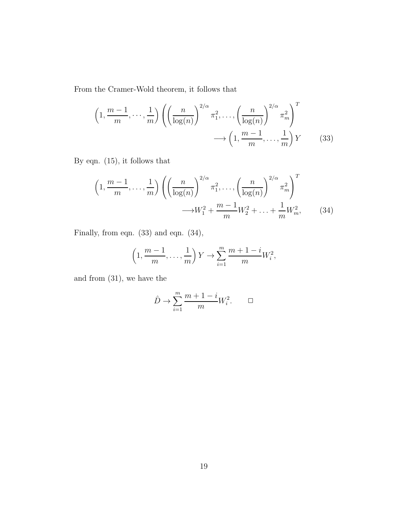From the Cramer-Wold theorem, it follows that

$$
\left(1, \frac{m-1}{m}, \dots, \frac{1}{m}\right) \left( \left(\frac{n}{\log(n)}\right)^{2/\alpha} \pi_1^2, \dots, \left(\frac{n}{\log(n)}\right)^{2/\alpha} \pi_m^2 \right)^T
$$

$$
\longrightarrow \left(1, \frac{m-1}{m}, \dots, \frac{1}{m}\right) Y \tag{33}
$$

By eqn. (15), it follows that

$$
\left(1, \frac{m-1}{m}, \dots, \frac{1}{m}\right) \left( \left(\frac{n}{\log(n)}\right)^{2/\alpha} \pi_1^2, \dots, \left(\frac{n}{\log(n)}\right)^{2/\alpha} \pi_m^2 \right)^T
$$

$$
\longrightarrow W_1^2 + \frac{m-1}{m} W_2^2 + \dots + \frac{1}{m} W_m^2, \tag{34}
$$

Finally, from eqn. (33) and eqn. (34),

$$
\left(1, \frac{m-1}{m}, \dots, \frac{1}{m}\right)Y \to \sum_{i=1}^{m} \frac{m+1-i}{m}W_i^2,
$$

and from (31), we have the

$$
\hat{D} \to \sum_{i=1}^{m} \frac{m+1-i}{m} W_i^2. \qquad \Box
$$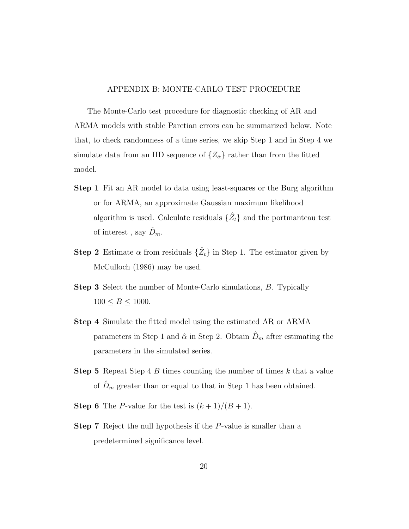#### APPENDIX B: MONTE-CARLO TEST PROCEDURE

The Monte-Carlo test procedure for diagnostic checking of AR and ARMA models with stable Paretian errors can be summarized below. Note that, to check randomness of a time series, we skip Step 1 and in Step 4 we simulate data from an IID sequence of  $\{Z_{\hat{\alpha}}\}$  rather than from the fitted model.

- Step 1 Fit an AR model to data using least-squares or the Burg algorithm or for ARMA, an approximate Gaussian maximum likelihood algorithm is used. Calculate residuals  $\{\hat{Z}_t\}$  and the portmanteau test of interest, say  $\hat{D}_m$ .
- **Step 2** Estimate  $\alpha$  from residuals  $\{\hat{Z}_t\}$  in Step 1. The estimator given by McCulloch (1986) may be used.
- Step 3 Select the number of Monte-Carlo simulations, B. Typically  $100 \le B \le 1000$ .
- Step 4 Simulate the fitted model using the estimated AR or ARMA parameters in Step 1 and  $\hat{\alpha}$  in Step 2. Obtain  $\hat{D}_m$  after estimating the parameters in the simulated series.
- **Step 5** Repeat Step 4 B times counting the number of times k that a value of  $\hat{D}_m$  greater than or equal to that in Step 1 has been obtained.
- **Step 6** The *P*-value for the test is  $(k + 1)/(B + 1)$ .
- Step 7 Reject the null hypothesis if the P-value is smaller than a predetermined significance level.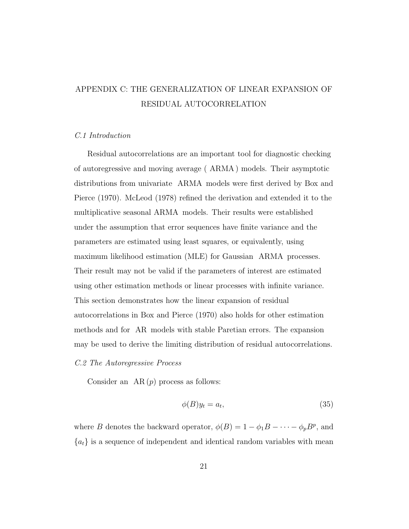## APPENDIX C: THE GENERALIZATION OF LINEAR EXPANSION OF RESIDUAL AUTOCORRELATION

#### *C.1 Introduction*

Residual autocorrelations are an important tool for diagnostic checking of autoregressive and moving average ( ARMA ) models. Their asymptotic distributions from univariate ARMA models were first derived by Box and Pierce (1970). McLeod (1978) refined the derivation and extended it to the multiplicative seasonal ARMA models. Their results were established under the assumption that error sequences have finite variance and the parameters are estimated using least squares, or equivalently, using maximum likelihood estimation (MLE) for Gaussian ARMA processes. Their result may not be valid if the parameters of interest are estimated using other estimation methods or linear processes with infinite variance. This section demonstrates how the linear expansion of residual autocorrelations in Box and Pierce (1970) also holds for other estimation methods and for AR models with stable Paretian errors. The expansion may be used to derive the limiting distribution of residual autocorrelations.

#### *C.2 The Autoregressive Process*

Consider an  $AR(p)$  process as follows:

$$
\phi(B)y_t = a_t,\tag{35}
$$

where *B* denotes the backward operator,  $\phi(B) = 1 - \phi_1 B - \cdots - \phi_p B^p$ , and  ${a_t}$  is a sequence of independent and identical random variables with mean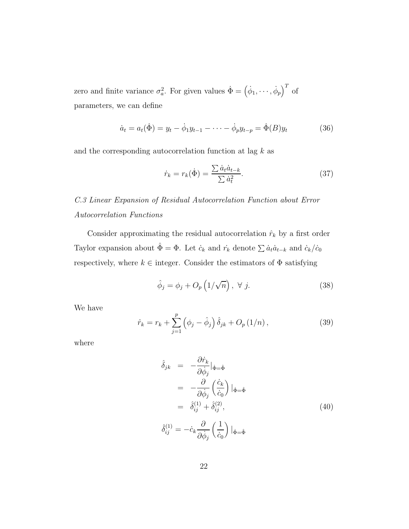zero and finite variance  $\sigma_a^2$ . For given values  $\dot{\Phi} = (\dot{\phi}_1, \dots, \dot{\phi}_p)^T$  of parameters, we can define

$$
\dot{a}_t = a_t(\dot{\Phi}) = y_t - \dot{\phi}_1 y_{t-1} - \dots - \dot{\phi}_p y_{t-p} = \dot{\Phi}(B) y_t \tag{36}
$$

and the corresponding autocorrelation function at lag  $k$  as

$$
\dot{r}_k = r_k(\dot{\Phi}) = \frac{\sum \dot{a}_t \dot{a}_{t-k}}{\sum \dot{a}_t^2}.
$$
\n(37)

*C.3 Linear Expansion of Residual Autocorrelation Function about Error Autocorrelation Functions*

Consider approximating the residual autocorrelation  $\hat{r}_k$  by a first order Taylor expansion about  $\hat{\Phi} = \Phi$ . Let  $\dot{c}_k$  and  $\dot{r}_k$  denote  $\sum \dot{a}_t \dot{a}_{t-k}$  and  $\dot{c}_k/\dot{c}_0$ respectively, where  $k \in \text{integer}$ . Consider the estimators of  $\Phi$  satisfying

$$
\hat{\phi}_j = \phi_j + O_p\left(1/\sqrt{n}\right), \ \forall \ j.
$$
\n(38)

We have

$$
\hat{r}_k = r_k + \sum_{j=1}^p \left( \phi_j - \hat{\phi}_j \right) \hat{\delta}_{jk} + O_p(1/n) , \qquad (39)
$$

where

$$
\hat{\delta}_{jk} = -\frac{\partial \dot{r}_k}{\partial \dot{\phi}_j} |_{\dot{\Phi} = \hat{\Phi}}
$$
\n
$$
= -\frac{\partial}{\partial \dot{\phi}_j} \left(\frac{\dot{c}_k}{\dot{c}_0}\right) |_{\dot{\Phi} = \hat{\Phi}}
$$
\n
$$
= \hat{\delta}_{ij}^{(1)} + \hat{\delta}_{ij}^{(2)},
$$
\n
$$
\hat{\delta}_{ij}^{(1)} = -\dot{c}_k \frac{\partial}{\partial \dot{\phi}_j} \left(\frac{1}{\dot{c}_0}\right) |_{\dot{\Phi} = \hat{\Phi}}
$$
\n(40)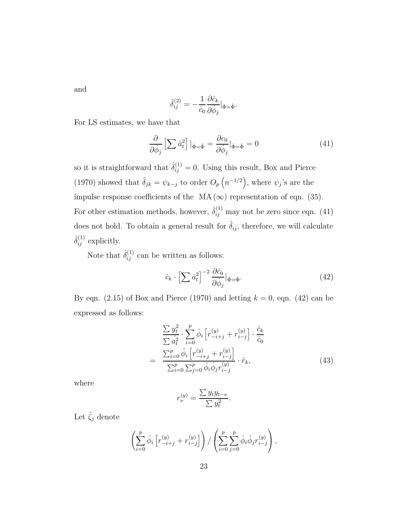and

$$
\hat{\delta}^{(2)}_{ij} = -\frac{1}{\dot{c}_0} \frac{\partial \dot{c}_k}{\partial \dot{\phi}_j} |_{\dot{\Phi} = \hat{\Phi}}.
$$

For LS estimates, we have that

$$
\frac{\partial}{\partial \dot{\phi}_j} \left[ \sum \dot{a}_t^2 \right] \Big|_{\dot{\Phi} = \hat{\Phi}} = \frac{\partial c_0}{\partial \dot{\phi}_j} \Big|_{\dot{\Phi} = \hat{\Phi}} = 0 \tag{41}
$$

so it is straightforward that  $\hat{\delta}_{ij}^{(1)} = 0$ . Using this result, Box and Pierce (1970) showed that  $\hat{\delta}_{jk} = \psi_{k-j}$  to order  $O_p(n^{-1/2})$ , where  $\psi_j$ 's are the impulse response coefficients of the MA  $(\infty)$  representation of eqn. (35). For other estimation methods, however,  $\hat{\delta}_{ij}^{(1)}$  may not be zero since eqn. (41) does not hold. To obtain a general result for  $\hat{\delta}_{ij}$ , therefore, we will calculate  $\hat{\delta}^{(1)}_{ij}$  explicitly.

Note that  $\hat{\delta}_{ij}^{(1)}$  can be written as follows:

$$
\dot{c}_k \cdot \left[ \sum \dot{a}_t^2 \right]^{-2} \frac{\partial \dot{c}_0}{\partial \dot{\phi}_j} |_{\dot{\Phi} = \hat{\Phi}}.\tag{42}
$$

By eqn. (2.15) of Box and Pierce (1970) and letting  $k = 0$ , eqn. (42) can be expressed as follows:

$$
\frac{\sum y_i^2}{\sum \hat{a}_t^2} \cdot \sum_{i=0}^p \hat{\phi}_i \left[ r_{-i+j}^{(y)} + r_{i-j}^{(y)} \right] \cdot \frac{\hat{c}_k}{\hat{c}_0}
$$
\n
$$
= \frac{\sum_{i=0}^p \hat{\phi}_i \left[ r_{-i+j}^{(y)} + r_{i-j}^{(y)} \right]}{\sum_{i=0}^p \sum_{j=0}^p \hat{\phi}_i \hat{\phi}_j r_{i-j}^{(y)}} \cdot \hat{r}_k, \tag{43}
$$

where

$$
r_{\nu}^{(y)} = \frac{\sum y_t y_{t-\nu}}{\sum y_t^2}.
$$

Let  $\hat{\zeta}_j$  denote

$$
\left(\sum_{i=0}^{p} \hat{\phi}_{i} \left[ r_{-i+j}^{(y)} + r_{i-j}^{(y)} \right] \right) / \left( \sum_{i=0}^{p} \sum_{j=0}^{p} \hat{\phi}_{i} \hat{\phi}_{j} r_{i-j}^{(y)} \right),
$$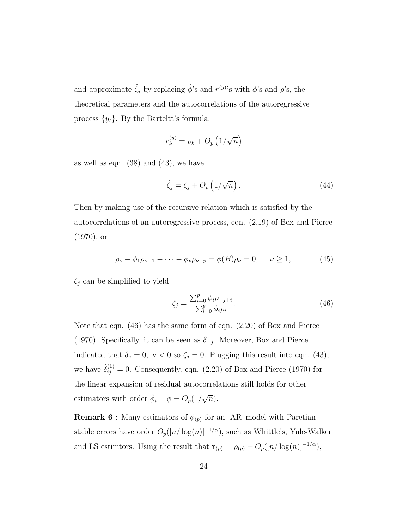and approximate  $\hat{\zeta}_j$  by replacing  $\hat{\phi}$ 's and  $r^{(y)}$ 's with  $\phi$ 's and  $\rho$ 's, the theoretical parameters and the autocorrelations of the autoregressive process  $\{y_t\}$ . By the Barteltt's formula,

$$
r_k^{(y)} = \rho_k + O_p\left(1/\sqrt{n}\right)
$$

as well as eqn.  $(38)$  and  $(43)$ , we have

$$
\hat{\zeta}_j = \zeta_j + O_p\left(1/\sqrt{n}\right). \tag{44}
$$

Then by making use of the recursive relation which is satisfied by the autocorrelations of an autoregressive process, eqn. (2.19) of Box and Pierce (1970), or

$$
\rho_{\nu} - \phi_1 \rho_{\nu - 1} - \dots - \phi_p \rho_{\nu - p} = \phi(B) \rho_{\nu} = 0, \quad \nu \ge 1,
$$
 (45)

 $\zeta_j$  can be simplified to yield

$$
\zeta_j = \frac{\sum_{i=0}^p \phi_i \rho_{-j+i}}{\sum_{i=0}^p \phi_i \rho_i}.
$$
\n(46)

Note that eqn. (46) has the same form of eqn. (2.20) of Box and Pierce (1970). Specifically, it can be seen as  $\delta_{-j}$ . Moreover, Box and Pierce indicated that  $\delta_{\nu} = 0$ ,  $\nu < 0$  so  $\zeta_j = 0$ . Plugging this result into eqn. (43), we have  $\hat{\delta}_{ij}^{(1)} = 0$ . Consequently, eqn. (2.20) of Box and Pierce (1970) for the linear expansion of residual autocorrelations still holds for other estimators with order  $\hat{\phi}_i - \phi = O_p(1/\sqrt{n}).$ 

**Remark 6**: Many estimators of  $\phi_{(p)}$  for an AR model with Paretian stable errors have order  $O_p([n/\log(n)]^{-1/\alpha})$ , such as Whittle's, Yule-Walker and LS estimtors. Using the result that  $\mathbf{r}_{(p)} = \rho_{(p)} + O_p([n/\log(n)]^{-1/\alpha}),$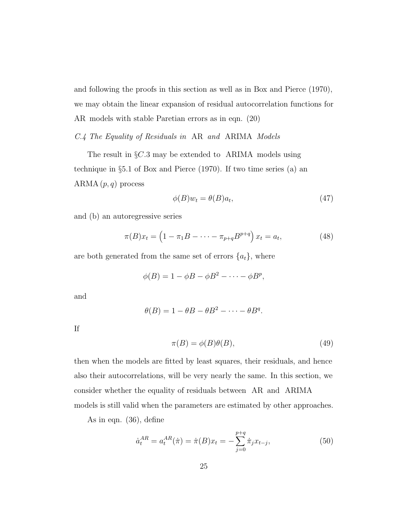and following the proofs in this section as well as in Box and Pierce (1970), we may obtain the linear expansion of residual autocorrelation functions for AR models with stable Paretian errors as in eqn. (20)

*C.4 The Equality of Residuals in* AR *and* ARIMA *Models*

The result in  $\S C.3$  may be extended to ARIMA models using technique in §5.1 of Box and Pierce (1970). If two time series (a) an ARMA  $(p, q)$  process

$$
\phi(B)w_t = \theta(B)a_t,\tag{47}
$$

and (b) an autoregressive series

$$
\pi(B)x_t = \left(1 - \pi_1 B - \dots - \pi_{p+q} B^{p+q}\right) x_t = a_t,
$$
\n(48)

are both generated from the same set of errors  $\{a_t\}$ , where

$$
\phi(B) = 1 - \phi B - \phi B^2 - \dots - \phi B^p,
$$

and

$$
\theta(B) = 1 - \theta B - \theta B^2 - \dots - \theta B^q.
$$

If

$$
\pi(B) = \phi(B)\theta(B),\tag{49}
$$

then when the models are fitted by least squares, their residuals, and hence also their autocorrelations, will be very nearly the same. In this section, we consider whether the equality of residuals between AR and ARIMA models is still valid when the parameters are estimated by other approaches.

As in eqn. (36), define

$$
\dot{a}_t^{AR} = a_t^{AR}(\dot{\pi}) = \dot{\pi}(B)x_t = -\sum_{j=0}^{p+q} \dot{\pi}_j x_{t-j},
$$
\n(50)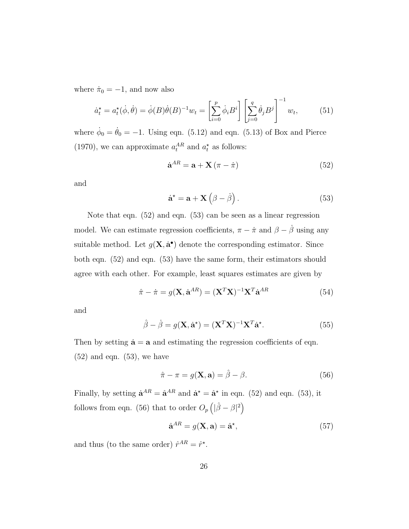where  $\dot{\pi}_0 = -1$ , and now also

$$
\dot{a}_t^* = a_t^*(\dot{\phi}, \dot{\theta}) = \dot{\phi}(B)\dot{\theta}(B)^{-1}w_t = \left[\sum_{i=0}^p \dot{\phi}_i B^i\right] \left[\sum_{j=0}^q \dot{\theta}_j B^j\right]^{-1} w_t, \tag{51}
$$

where  $\dot{\phi}_0 = \dot{\theta}_0 = -1$ . Using eqn. (5.12) and eqn. (5.13) of Box and Pierce (1970), we can approximate  $a_t^{AR}$  and  $a_t^*$  as follows:

$$
\dot{\mathbf{a}}^{AR} = \mathbf{a} + \mathbf{X} \left( \pi - \dot{\pi} \right) \tag{52}
$$

and

$$
\dot{\mathbf{a}}^{\star} = \mathbf{a} + \mathbf{X} \left( \beta - \dot{\beta} \right). \tag{53}
$$

Note that eqn. (52) and eqn. (53) can be seen as a linear regression model. We can estimate regression coefficients,  $\pi - \dot{\pi}$  and  $\beta - \dot{\beta}$  using any suitable method. Let  $g(\mathbf{X}, \dot{\mathbf{a}}^{\bullet})$  denote the corresponding estimator. Since both eqn. (52) and eqn. (53) have the same form, their estimators should agree with each other. For example, least squares estimates are given by

$$
\hat{\pi} - \dot{\pi} = g(\mathbf{X}, \dot{\mathbf{a}}^{AR}) = (\mathbf{X}^T \mathbf{X})^{-1} \mathbf{X}^T \dot{\mathbf{a}}^{AR}
$$
(54)

and

$$
\hat{\beta} - \dot{\beta} = g(\mathbf{X}, \dot{\mathbf{a}}^*) = (\mathbf{X}^T \mathbf{X})^{-1} \mathbf{X}^T \dot{\mathbf{a}}^*.
$$
 (55)

Then by setting  $\dot{a} = a$  and estimating the regression coefficients of eqn.  $(52)$  and eqn.  $(53)$ , we have

$$
\hat{\pi} - \pi = g(\mathbf{X}, \mathbf{a}) = \hat{\beta} - \beta.
$$
 (56)

Finally, by setting  $\dot{\mathbf{a}}^{AR} = \hat{\mathbf{a}}^{AR}$  and  $\dot{\mathbf{a}}^* = \hat{\mathbf{a}}^*$  in eqn. (52) and eqn. (53), it follows from eqn. (56) that to order  $O_p\left(|\hat{\beta} - \beta|^2\right)$ 

$$
\hat{\mathbf{a}}^{AR} = g(\mathbf{X}, \mathbf{a}) = \hat{\mathbf{a}}^{\star},\tag{57}
$$

and thus (to the same order)  $\hat{r}^{AR} = \hat{r}^*$ .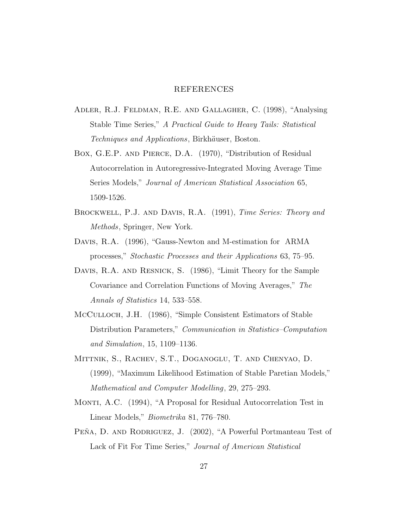#### REFERENCES

- Adler, R.J. Feldman, R.E. and Gallagher, C. (1998), "Analysing Stable Time Series," *A Practical Guide to Heavy Tails: Statistical Techniques and Applications*, Birkhäuser, Boston.
- Box, G.E.P. and Pierce, D.A. (1970), "Distribution of Residual Autocorrelation in Autoregressive-Integrated Moving Average Time Series Models," *Journal of American Statistical Association* 65, 1509-1526.
- Brockwell, P.J. and Davis, R.A. (1991), *Time Series: Theory and Methods*, Springer, New York.
- Davis, R.A. (1996), "Gauss-Newton and M-estimation for ARMA processes," *Stochastic Processes and their Applications* 63, 75–95.
- DAVIS, R.A. AND RESNICK, S. (1986), "Limit Theory for the Sample Covariance and Correlation Functions of Moving Averages," *The Annals of Statistics* 14, 533–558.
- McCulloch, J.H. (1986), "Simple Consistent Estimators of Stable Distribution Parameters," *Communication in Statistics–Computation and Simulation*, 15, 1109–1136.
- Mittnik, S., Rachev, S.T., Doganoglu, T. and Chenyao, D. (1999), "Maximum Likelihood Estimation of Stable Paretian Models," *Mathematical and Computer Modelling*, 29, 275–293.
- MONTI, A.C. (1994), "A Proposal for Residual Autocorrelation Test in Linear Models," *Biometrika* 81, 776–780.
- PEŇA, D. AND RODRIGUEZ, J. (2002), "A Powerful Portmanteau Test of Lack of Fit For Time Series," *Journal of American Statistical*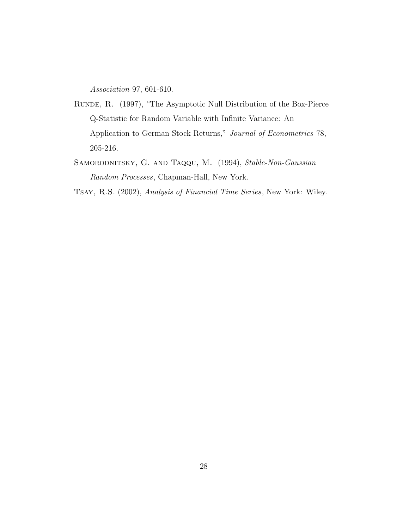*Association* 97, 601-610.

- Runde, R. (1997), "The Asymptotic Null Distribution of the Box-Pierce Q-Statistic for Random Variable with Infinite Variance: An Application to German Stock Returns," *Journal of Econometrics* 78, 205-216.
- Samorodnitsky, G. and Taqqu, M. (1994), *Stable-Non-Gaussian Random Processes*, Chapman-Hall, New York.

Tsay, R.S. (2002), *Analysis of Financial Time Series*, New York: Wiley.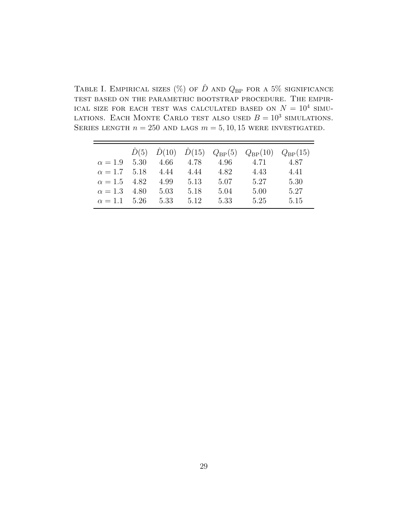TABLE I. EMPIRICAL SIZES (%) OF  $\hat{D}$  and  $Q_{\text{BP}}$  for a 5% significance test based on the parametric bootstrap procedure. The empir-ICAL SIZE FOR EACH TEST WAS CALCULATED BASED ON  $N = 10^4$  SIMU-LATIONS. EACH MONTE CARLO TEST ALSO USED  $B = 10^3$  simulations. SERIES LENGTH  $n = 250$  AND LAGS  $m = 5, 10, 15$  were investigated.

|                          |           |      |      | $\hat{D}(5)$ $\hat{D}(10)$ $\hat{D}(15)$ $Q_{BP}(5)$ $Q_{BP}(10)$ $Q_{BP}(15)$ |      |
|--------------------------|-----------|------|------|--------------------------------------------------------------------------------|------|
| $\alpha = 1.9$ 5.30      | 4.66      | 4.78 | 4.96 | 4.71                                                                           | 4.87 |
| $\alpha = 1.7$ 5.18 4.44 |           | 4.44 | 4.82 | 4.43                                                                           | 4.41 |
| $\alpha = 1.5$ 4.82      | 4.99 5.13 |      | 5.07 | 5.27                                                                           | 5.30 |
| $\alpha = 1.3$ 4.80      | 5.03      | 5.18 | 5.04 | 5.00                                                                           | 5.27 |
| $\alpha = 1.1$ 5.26      | 5.33      | 5.12 | 5.33 | 5.25                                                                           | 5.15 |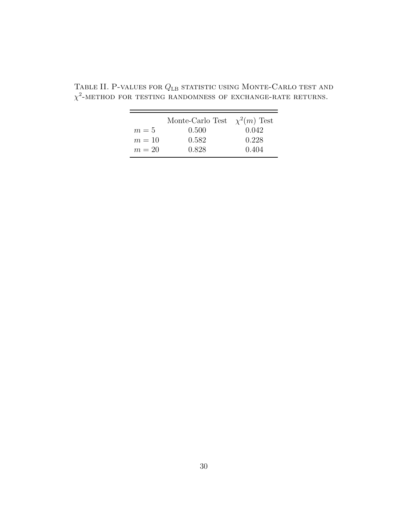|        | Monte-Carlo Test $\chi^2(m)$ Test |       |
|--------|-----------------------------------|-------|
| $m=5$  | 0.500                             | 0.042 |
| $m=10$ | 0.582                             | 0.228 |
| $m=20$ | 0.828                             | 0.404 |

TABLE II. P-VALUES FOR  $Q_{\rm LB}$  statistic using Monte-Carlo test and  $\chi^2$ -METHOD FOR TESTING RANDOMNESS OF EXCHANGE-RATE RETURNS.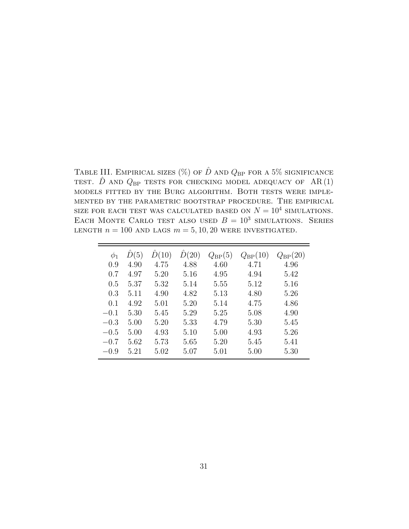TABLE III. EMPIRICAL SIZES (%) OF  $\hat{D}$  and  $Q_{\text{BP}}$  for a 5% significance TEST.  $\hat{D}$  AND  $Q_{\text{BP}}$  TESTS FOR CHECKING MODEL ADEQUACY OF AR(1) models fitted by the Burg algorithm. Both tests were implemented by the parametric bootstrap procedure. The empirical SIZE FOR EACH TEST WAS CALCULATED BASED ON  $N = 10^4$  SIMULATIONS. EACH MONTE CARLO TEST ALSO USED  $B = 10^3$  SIMULATIONS. SERIES LENGTH  $n = 100$  AND LAGS  $m = 5, 10, 20$  WERE INVESTIGATED.

| $\phi_1$ | D(5) | D(10) | D(20) | $Q_{\rm BP}(5)$ | $Q_{\rm BP}(10)$ | $Q_{\rm BP}(20)$ |
|----------|------|-------|-------|-----------------|------------------|------------------|
| 0.9      | 4.90 | 4.75  | 4.88  | 4.60            | 4.71             | 4.96             |
| 0.7      | 4.97 | 5.20  | 5.16  | 4.95            | 4.94             | 5.42             |
| 0.5      | 5.37 | 5.32  | 5.14  | 5.55            | 5.12             | 5.16             |
| 0.3      | 5.11 | 4.90  | 4.82  | 5.13            | 4.80             | 5.26             |
| 0.1      | 4.92 | 5.01  | 5.20  | 5.14            | 4.75             | 4.86             |
| $-0.1$   | 5.30 | 5.45  | 5.29  | 5.25            | 5.08             | 4.90             |
| $-0.3$   | 5.00 | 5.20  | 5.33  | 4.79            | 5.30             | 5.45             |
| $-0.5$   | 5.00 | 4.93  | 5.10  | 5.00            | 4.93             | 5.26             |
| $-0.7$   | 5.62 | 5.73  | 5.65  | 5.20            | 5.45             | 5.41             |
| $-0.9$   | 5.21 | 5.02  | 5.07  | 5.01            | 5.00             | 5.30             |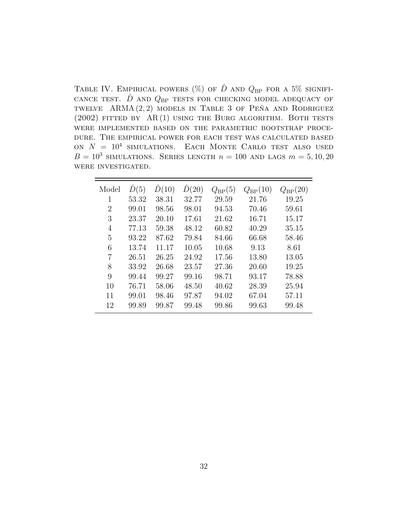TABLE IV. EMPIRICAL POWERS (%) OF  $\hat{D}$  AND  $Q_{BP}$  for a 5% signifi-CANCE TEST.  $\hat{D}$  AND  $Q_{\text{BP}}$  TESTS FOR CHECKING MODEL ADEQUACY OF TWELVE ARMA $(2, 2)$  models in Table 3 of Pena and Rodriguez (2002) FITTED BY  $AR(1)$  using the Burg algorithm. Both tests were implemented based on the parametric bootstrap procedure. The empirical power for each test was calculated based ON  $N = 10^4$  SIMULATIONS. EACH MONTE CARLO TEST ALSO USED  $B = 10^3$  simulations. Series length  $n = 100$  and lags  $m = 5, 10, 20$ were investigated.

| Model | $\hat{D}(5)$ | D(10) | $\hat{D}(20)$ | $Q_{\rm BP}(5)$ | $Q_{\rm BP}(10)$ | $Q_{\rm BP}(20)$ |
|-------|--------------|-------|---------------|-----------------|------------------|------------------|
| 1     | 53.32        | 38.31 | 32.77         | 29.59           | 21.76            | 19.25            |
| 2     | 99.01        | 98.56 | 98.01         | 94.53           | 70.46            | 59.61            |
| 3     | 23.37        | 20.10 | 17.61         | 21.62           | 16.71            | 15.17            |
| 4     | 77.13        | 59.38 | 48.12         | 60.82           | 40.29            | 35.15            |
| 5     | 93.22        | 87.62 | 79.84         | 84.66           | 66.68            | 58.46            |
| 6     | 13.74        | 11.17 | 10.05         | 10.68           | 9.13             | 8.61             |
| 7     | 26.51        | 26.25 | 24.92         | 17.56           | 13.80            | 13.05            |
| 8     | 33.92        | 26.68 | 23.57         | 27.36           | 20.60            | 19.25            |
| 9     | 99.44        | 99.27 | 99.16         | 98.71           | 93.17            | 78.88            |
| 10    | 76.71        | 58.06 | 48.50         | 40.62           | 28.39            | 25.94            |
| 11    | 99.01        | 98.46 | 97.87         | 94.02           | 67.04            | 57.11            |
| 12    | 99.89        | 99.87 | 99.48         | 99.86           | 99.63            | 99.48            |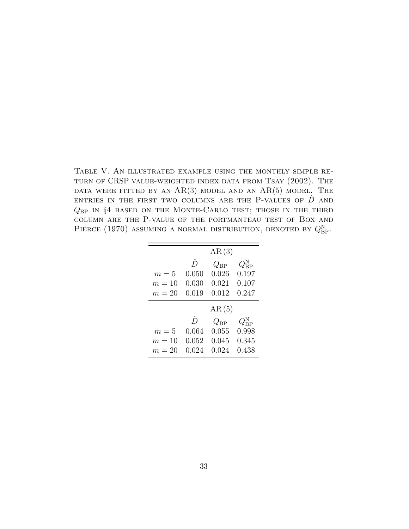Table V. An illustrated example using the monthly simple return of CRSP value-weighted index data from Tsay (2002). The DATA WERE FITTED BY AN  $AR(3)$  model and an  $AR(5)$  model. The ENTRIES IN THE FIRST TWO COLUMNS ARE THE P-VALUES OF  $\hat{D}$  and  $Q_{BP}$  in §4 based on the Monte-Carlo test; those in the third column are the P-value of the portmanteau test of Box and PIERCE (1970) ASSUMING A NORMAL DISTRIBUTION, DENOTED BY  $Q_{\text{BP}}^{\text{N}}$ .

|        |           | AR(3)        |                      |
|--------|-----------|--------------|----------------------|
|        | $\hat{D}$ | $Q_{\rm BP}$ | $Q^{\rm N}_{\rm BP}$ |
| $m=5$  | 0.050     | 0.026        | 0.197                |
| $m=10$ | 0.030     | 0.021        | 0.107                |
| $m=20$ | 0.019     | 0.012        | 0.247                |
|        |           |              |                      |
|        |           | AR(5)        |                      |
|        | $\hat{D}$ | $Q_{\rm BP}$ | $Q^{\rm N}_{\rm BP}$ |
| $m=5$  | 0.064     | 0.055        | 0.998                |
| $m=10$ | 0.052     | 0.045        | 0.345                |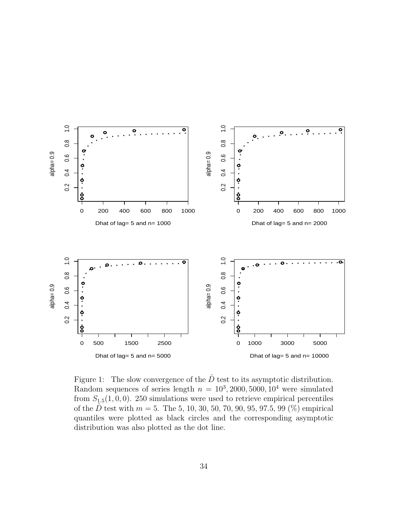

Figure 1: The slow convergence of the  $\hat{D}$  test to its asymptotic distribution. Random sequences of series length  $n = 10^3, 2000, 5000, 10^4$  were simulated from  $S_{1,5}(1,0,0)$ . 250 simulations were used to retrieve empirical percentiles of the  $\hat{D}$  test with  $m = 5$ . The 5, 10, 30, 50, 70, 90, 95, 97.5, 99 (%) empirical quantiles were plotted as black circles and the corresponding asymptotic distribution was also plotted as the dot line.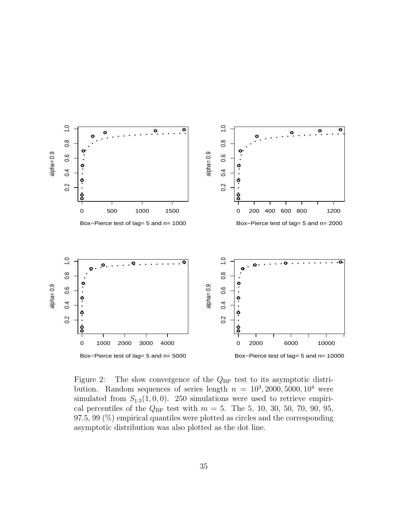

Figure 2: The slow convergence of the  $Q_{BP}$  test to its asymptotic distribution. Random sequences of series length  $n = 10^3, 2000, 5000, 10^4$  were simulated from  $S_{1.5}(1, 0, 0)$ . 250 simulations were used to retrieve empirical percentiles of the  $Q_{BP}$  test with  $m = 5$ . The 5, 10, 30, 50, 70, 90, 95,  $97.5, 99 \ (\%)$  empirical quantiles were plotted as circles and the corresponding asymptotic distribution was also plotted as the dot line.